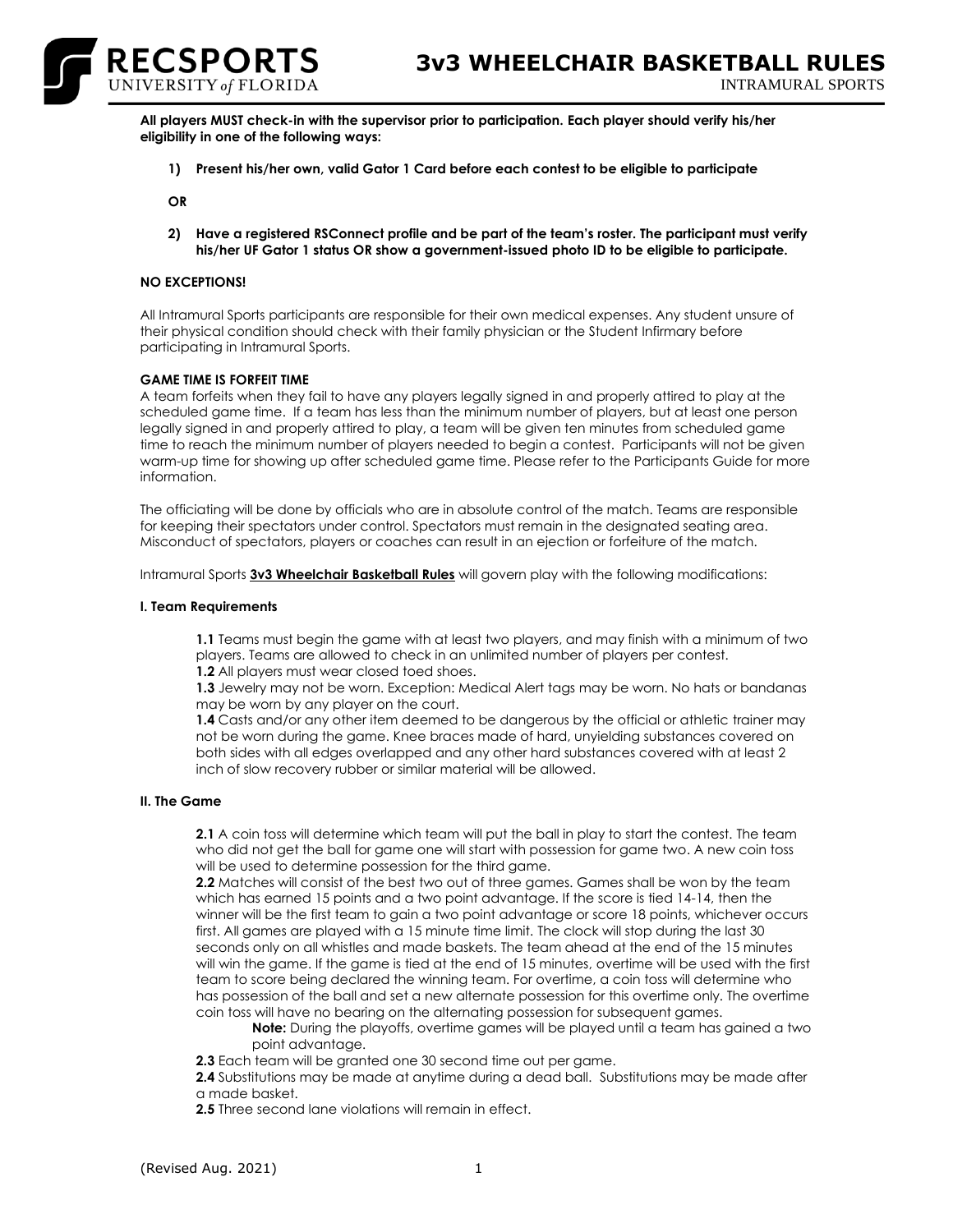

**All players MUST check-in with the supervisor prior to participation. Each player should verify his/her eligibility in one of the following ways:**

**1) Present his/her own, valid Gator 1 Card before each contest to be eligible to participate**

**OR**

**2) Have a registered RSConnect profile and be part of the team's roster. The participant must verify his/her UF Gator 1 status OR show a government-issued photo ID to be eligible to participate.**

## **NO EXCEPTIONS!**

All Intramural Sports participants are responsible for their own medical expenses. Any student unsure of their physical condition should check with their family physician or the Student Infirmary before participating in Intramural Sports.

#### **GAME TIME IS FORFEIT TIME**

A team forfeits when they fail to have any players legally signed in and properly attired to play at the scheduled game time. If a team has less than the minimum number of players, but at least one person legally signed in and properly attired to play, a team will be given ten minutes from scheduled game time to reach the minimum number of players needed to begin a contest. Participants will not be given warm-up time for showing up after scheduled game time. Please refer to the Participants Guide for more information.

The officiating will be done by officials who are in absolute control of the match. Teams are responsible for keeping their spectators under control. Spectators must remain in the designated seating area. Misconduct of spectators, players or coaches can result in an ejection or forfeiture of the match.

Intramural Sports **[3v3 Wheelchair Basketball Rules](http://www.recsports.ufl.edu/basketball5on5.aspx)** will govern play with the following modifications:

#### **I. Team Requirements**

**1.1** Teams must begin the game with at least two players, and may finish with a minimum of two players. Teams are allowed to check in an unlimited number of players per contest.

**1.2** All players must wear closed toed shoes.

**1.3** Jewelry may not be worn. Exception: Medical Alert tags may be worn. No hats or bandanas may be worn by any player on the court.

**1.4** Casts and/or any other item deemed to be dangerous by the official or athletic trainer may not be worn during the game. Knee braces made of hard, unyielding substances covered on both sides with all edges overlapped and any other hard substances covered with at least 2 inch of slow recovery rubber or similar material will be allowed.

### **II. The Game**

**2.1** A coin toss will determine which team will put the ball in play to start the contest. The team who did not get the ball for game one will start with possession for game two. A new coin toss will be used to determine possession for the third game.

**2.2** Matches will consist of the best two out of three games. Games shall be won by the team which has earned 15 points and a two point advantage. If the score is tied 14-14, then the winner will be the first team to gain a two point advantage or score 18 points, whichever occurs first. All games are played with a 15 minute time limit. The clock will stop during the last 30 seconds only on all whistles and made baskets. The team ahead at the end of the 15 minutes will win the game. If the game is tied at the end of 15 minutes, overtime will be used with the first team to score being declared the winning team. For overtime, a coin toss will determine who has possession of the ball and set a new alternate possession for this overtime only. The overtime coin toss will have no bearing on the alternating possession for subsequent games.

**Note:** During the playoffs, overtime games will be played until a team has gained a two point advantage.

**2.3** Each team will be granted one 30 second time out per game.

**2.4** Substitutions may be made at anytime during a dead ball. Substitutions may be made after a made basket.

**2.5** Three second lane violations will remain in effect.